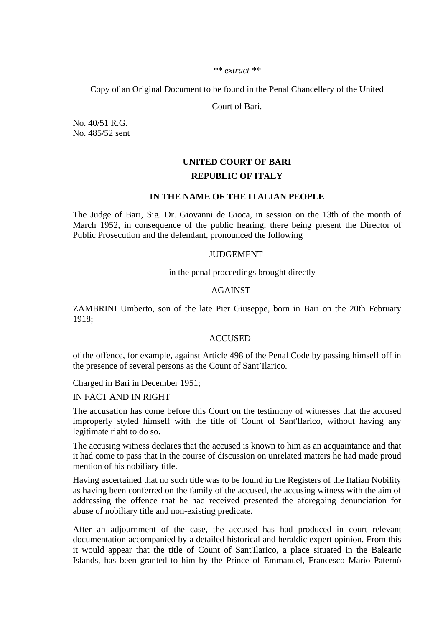#### *\*\* extract \*\**

Copy of an Original Document to be found in the Penal Chancellery of the United

Court of Bari.

No. 40/51 R.G. No. 485/52 sent

# **UNITED COURT OF BARI REPUBLIC OF ITALY**

### **IN THE NAME OF THE ITALIAN PEOPLE**

The Judge of Bari, Sig. Dr. Giovanni de Gioca, in session on the 13th of the month of March 1952, in consequence of the public hearing, there being present the Director of Public Prosecution and the defendant, pronounced the following

# JUDGEMENT

in the penal proceedings brought directly

## AGAINST

ZAMBRINI Umberto, son of the late Pier Giuseppe, born in Bari on the 20th February 1918;

## ACCUSED

of the offence, for example, against Article 498 of the Penal Code by passing himself off in the presence of several persons as the Count of Sant'Ilarico.

Charged in Bari in December 1951;

IN FACT AND IN RIGHT

The accusation has come before this Court on the testimony of witnesses that the accused improperly styled himself with the title of Count of Sant'Ilarico, without having any legitimate right to do so.

The accusing witness declares that the accused is known to him as an acquaintance and that it had come to pass that in the course of discussion on unrelated matters he had made proud mention of his nobiliary title.

Having ascertained that no such title was to be found in the Registers of the Italian Nobility as having been conferred on the family of the accused, the accusing witness with the aim of addressing the offence that he had received presented the aforegoing denunciation for abuse of nobiliary title and non-existing predicate.

After an adjournment of the case, the accused has had produced in court relevant documentation accompanied by a detailed historical and heraldic expert opinion. From this it would appear that the title of Count of Sant'Ilarico, a place situated in the Balearic Islands, has been granted to him by the Prince of Emmanuel, Francesco Mario Paternò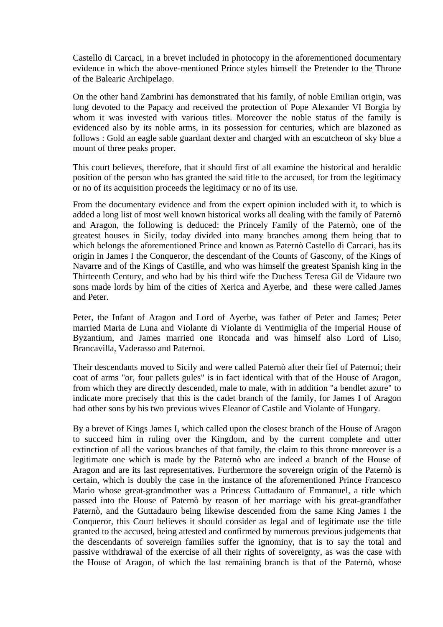Castello di Carcaci, in a brevet included in photocopy in the aforementioned documentary evidence in which the above-mentioned Prince styles himself the Pretender to the Throne of the Balearic Archipelago.

On the other hand Zambrini has demonstrated that his family, of noble Emilian origin, was long devoted to the Papacy and received the protection of Pope Alexander VI Borgia by whom it was invested with various titles. Moreover the noble status of the family is evidenced also by its noble arms, in its possession for centuries, which are blazoned as follows : Gold an eagle sable guardant dexter and charged with an escutcheon of sky blue a mount of three peaks proper.

This court believes, therefore, that it should first of all examine the historical and heraldic position of the person who has granted the said title to the accused, for from the legitimacy or no of its acquisition proceeds the legitimacy or no of its use.

From the documentary evidence and from the expert opinion included with it, to which is added a long list of most well known historical works all dealing with the family of Paternò and Aragon, the following is deduced: the Princely Family of the Paternò, one of the greatest houses in Sicily, today divided into many branches among them being that to which belongs the aforementioned Prince and known as Paternò Castello di Carcaci, has its origin in James I the Conqueror, the descendant of the Counts of Gascony, of the Kings of Navarre and of the Kings of Castille, and who was himself the greatest Spanish king in the Thirteenth Century, and who had by his third wife the Duchess Teresa Gil de Vidaure two sons made lords by him of the cities of Xerica and Ayerbe, and these were called James and Peter.

Peter, the Infant of Aragon and Lord of Ayerbe, was father of Peter and James; Peter married Maria de Luna and Violante di Violante di Ventimiglia of the Imperial House of Byzantium, and James married one Roncada and was himself also Lord of Liso, Brancavilla, Vaderasso and Paternoi.

Their descendants moved to Sicily and were called Paternò after their fief of Paternoi; their coat of arms "or, four pallets gules" is in fact identical with that of the House of Aragon, from which they are directly descended, male to male, with in addition "a bendlet azure" to indicate more precisely that this is the cadet branch of the family, for James I of Aragon had other sons by his two previous wives Eleanor of Castile and Violante of Hungary.

By a brevet of Kings James I, which called upon the closest branch of the House of Aragon to succeed him in ruling over the Kingdom, and by the current complete and utter extinction of all the various branches of that family, the claim to this throne moreover is a legitimate one which is made by the Paternò who are indeed a branch of the House of Aragon and are its last representatives. Furthermore the sovereign origin of the Paternò is certain, which is doubly the case in the instance of the aforementioned Prince Francesco Mario whose great-grandmother was a Princess Guttadauro of Emmanuel, a title which passed into the House of Paternò by reason of her marriage with his great-grandfather Paternò, and the Guttadauro being likewise descended from the same King James I the Conqueror, this Court believes it should consider as legal and of legitimate use the title granted to the accused, being attested and confirmed by numerous previous judgements that the descendants of sovereign families suffer the ignominy, that is to say the total and passive withdrawal of the exercise of all their rights of sovereignty, as was the case with the House of Aragon, of which the last remaining branch is that of the Paternò, whose